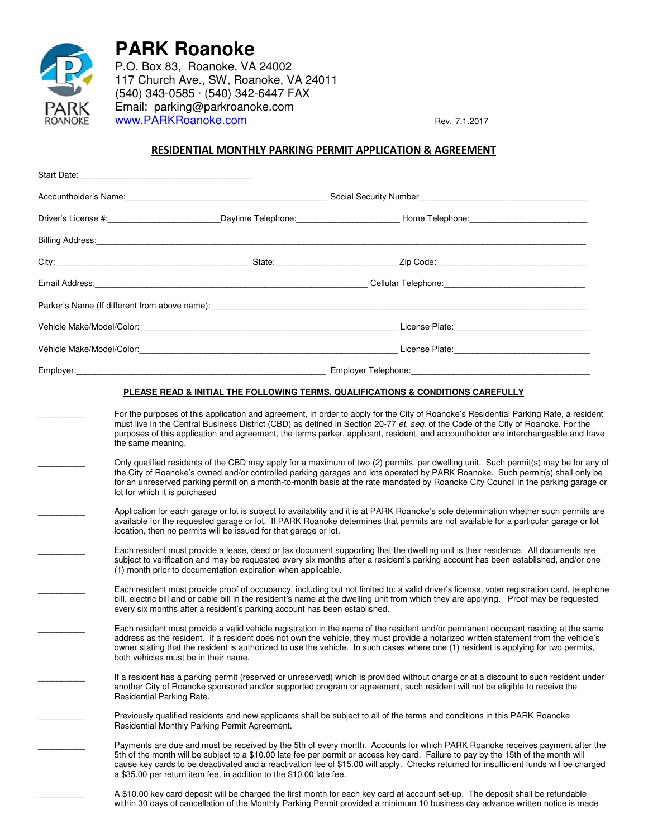

**PARK Roanoke**

P.O. Box 83, Roanoke, VA 24002 117 Church Ave., SW, Roanoke, VA 24011 (540) 343-0585 · (540) 342-6447 FAX Email: parking@parkroanoke.com www.PARKRoanoke.com Rev. 7.1.2017

## RESIDENTIAL MONTHLY PARKING PERMIT APPLICATION & AGREEMENT

|  | Accountholder's Name: Committee Committee Committee Committee Social Security Number Committee Committee Committee Committee Committee Committee Committee Committee Committee Committee Committee Committee Committee Committ |  |  |
|--|--------------------------------------------------------------------------------------------------------------------------------------------------------------------------------------------------------------------------------|--|--|
|  | Driver's License #: ____________________________Daytime Telephone: ____________________Home Telephone: ________________________________                                                                                        |  |  |
|  | Billing Address: <u>Communication of the contract of the contract of the contract of the contract of the contract of</u>                                                                                                       |  |  |
|  |                                                                                                                                                                                                                                |  |  |
|  |                                                                                                                                                                                                                                |  |  |
|  | Parker's Name (If different from above name): entertainment and the control of the control of the control of the control of the control of the control of the control of the control of the control of the control of the cont |  |  |
|  |                                                                                                                                                                                                                                |  |  |
|  |                                                                                                                                                                                                                                |  |  |
|  |                                                                                                                                                                                                                                |  |  |
|  | PLEASE READ & INITIAL THE FOLLOWING TERMS, QUALIFICATIONS & CONDITIONS CAREFULLY                                                                                                                                               |  |  |
|  | For the purposes of this application and agreement, in order to apply for the City of Boanoke's Besidential Parking Bate, a resident                                                                                           |  |  |

\_\_\_\_\_\_\_\_\_\_ For the purposes of this application and agreement, in order to apply for the City of Roanoke's Residential Parking Rate, a resident must live in the Central Business District (CBD) as defined in Section 20-77 et. seq. of the Code of the City of Roanoke. For the purposes of this application and agreement, the terms parker, applicant, resident, and accountholder are interchangeable and have the same meaning.

Only qualified residents of the CBD may apply for a maximum of two (2) permits, per dwelling unit. Such permit(s) may be for any of the City of Roanoke's owned and/or controlled parking garages and lots operated by PARK Roanoke. Such permit(s) shall only be for an unreserved parking permit on a month-to-month basis at the rate mandated by Roanoke City Council in the parking garage or lot for which it is purchased

Application for each garage or lot is subject to availability and it is at PARK Roanoke's sole determination whether such permits are available for the requested garage or lot. If PARK Roanoke determines that permits are not available for a particular garage or lot location, then no permits will be issued for that garage or lot.

Each resident must provide a lease, deed or tax document supporting that the dwelling unit is their residence. All documents are subject to verification and may be requested every six months after a resident's parking account has been established, and/or one (1) month prior to documentation expiration when applicable.

Each resident must provide proof of occupancy, including but not limited to: a valid driver's license, voter registration card, telephone bill, electric bill and or cable bill in the resident's name at the dwelling unit from which they are applying. Proof may be requested every six months after a resident's parking account has been established.

Each resident must provide a valid vehicle registration in the name of the resident and/or permanent occupant residing at the same address as the resident. If a resident does not own the vehicle, they must provide a notarized written statement from the vehicle's owner stating that the resident is authorized to use the vehicle. In such cases where one (1) resident is applying for two permits, both vehicles must be in their name.

If a resident has a parking permit (reserved or unreserved) which is provided without charge or at a discount to such resident under another City of Roanoke sponsored and/or supported program or agreement, such resident will not be eligible to receive the Residential Parking Rate.

Previously qualified residents and new applicants shall be subject to all of the terms and conditions in this PARK Roanoke Residential Monthly Parking Permit Agreement.

Payments are due and must be received by the 5th of every month. Accounts for which PARK Roanoke receives payment after the 5th of the month will be subject to a \$10.00 late fee per permit or access key card. Failure to pay by the 15th of the month will cause key cards to be deactivated and a reactivation fee of \$15.00 will apply. Checks returned for insufficient funds will be charged a \$35.00 per return item fee, in addition to the \$10.00 late fee.

A \$10.00 key card deposit will be charged the first month for each key card at account set-up. The deposit shall be refundable within 30 days of cancellation of the Monthly Parking Permit provided a minimum 10 business day advance written notice is made